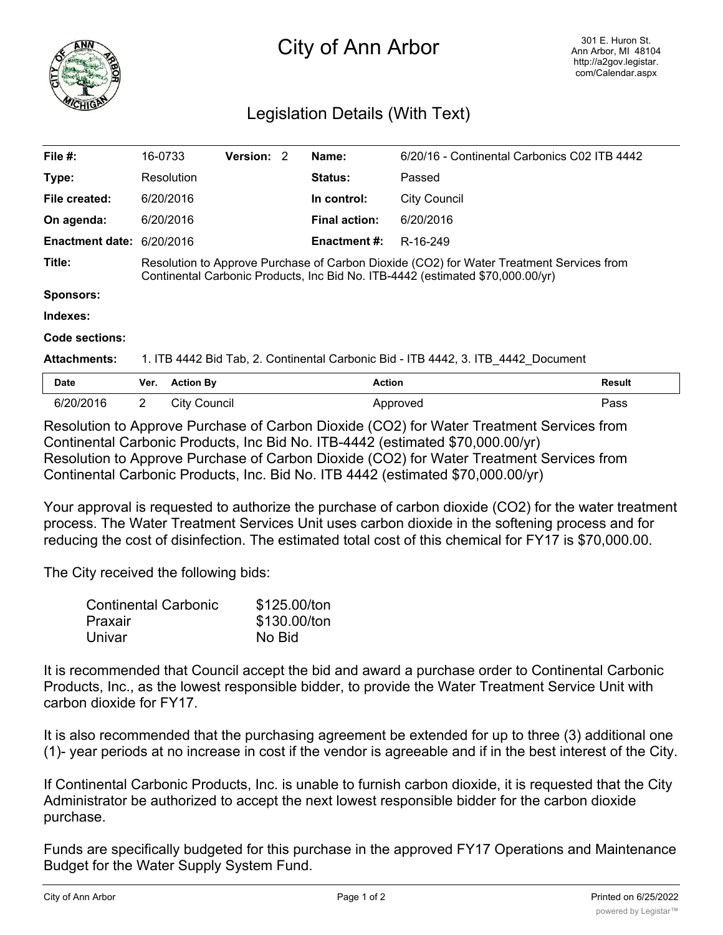

## City of Ann Arbor

## Legislation Details (With Text)

| File $#$ :                                                                                         | 16-0733                                                                           |                                                                                                                                                                            | <b>Version: 2</b> |  | Name:                | 6/20/16 - Continental Carbonics C02 ITB 4442 |               |
|----------------------------------------------------------------------------------------------------|-----------------------------------------------------------------------------------|----------------------------------------------------------------------------------------------------------------------------------------------------------------------------|-------------------|--|----------------------|----------------------------------------------|---------------|
| Type:                                                                                              |                                                                                   | Resolution                                                                                                                                                                 |                   |  | Status:              | Passed                                       |               |
| File created:                                                                                      |                                                                                   | 6/20/2016                                                                                                                                                                  |                   |  | In control:          | City Council                                 |               |
| On agenda:                                                                                         |                                                                                   | 6/20/2016                                                                                                                                                                  |                   |  | <b>Final action:</b> | 6/20/2016                                    |               |
| Enactment date: 6/20/2016                                                                          |                                                                                   |                                                                                                                                                                            |                   |  | <b>Enactment #:</b>  | R-16-249                                     |               |
| Title:                                                                                             |                                                                                   | Resolution to Approve Purchase of Carbon Dioxide (CO2) for Water Treatment Services from<br>Continental Carbonic Products, Inc Bid No. ITB-4442 (estimated \$70,000.00/yr) |                   |  |                      |                                              |               |
| <b>Sponsors:</b>                                                                                   |                                                                                   |                                                                                                                                                                            |                   |  |                      |                                              |               |
| Indexes:                                                                                           |                                                                                   |                                                                                                                                                                            |                   |  |                      |                                              |               |
| Code sections:                                                                                     |                                                                                   |                                                                                                                                                                            |                   |  |                      |                                              |               |
| <b>Attachments:</b>                                                                                | 1. ITB 4442 Bid Tab, 2. Continental Carbonic Bid - ITB 4442, 3. ITB 4442 Document |                                                                                                                                                                            |                   |  |                      |                                              |               |
| <b>Date</b>                                                                                        | Ver.                                                                              | <b>Action By</b>                                                                                                                                                           |                   |  | <b>Action</b>        |                                              | <b>Result</b> |
| 6/20/2016                                                                                          | $\mathbf{2}^{\prime}$                                                             | City Council                                                                                                                                                               |                   |  |                      | Approved                                     | Pass          |
| <u> Deselation to Ammora Danskers of Orckson Diraids (OOO) for Weter The started Orchives from</u> |                                                                                   |                                                                                                                                                                            |                   |  |                      |                                              |               |

Resolution to Approve Purchase of Carbon Dioxide (CO2) for Water Treatment Services from Continental Carbonic Products, Inc Bid No. ITB-4442 (estimated \$70,000.00/yr) Resolution to Approve Purchase of Carbon Dioxide (CO2) for Water Treatment Services from Continental Carbonic Products, Inc. Bid No. ITB 4442 (estimated \$70,000.00/yr)

Your approval is requested to authorize the purchase of carbon dioxide (CO2) for the water treatment process. The Water Treatment Services Unit uses carbon dioxide in the softening process and for reducing the cost of disinfection. The estimated total cost of this chemical for FY17 is \$70,000.00.

The City received the following bids:

| <b>Continental Carbonic</b> | \$125.00/ton |
|-----------------------------|--------------|
| Praxair                     | \$130.00/ton |
| Univar                      | No Bid       |

It is recommended that Council accept the bid and award a purchase order to Continental Carbonic Products, Inc., as the lowest responsible bidder, to provide the Water Treatment Service Unit with carbon dioxide for FY17.

It is also recommended that the purchasing agreement be extended for up to three (3) additional one (1)- year periods at no increase in cost if the vendor is agreeable and if in the best interest of the City.

If Continental Carbonic Products, Inc. is unable to furnish carbon dioxide, it is requested that the City Administrator be authorized to accept the next lowest responsible bidder for the carbon dioxide purchase.

Funds are specifically budgeted for this purchase in the approved FY17 Operations and Maintenance Budget for the Water Supply System Fund.